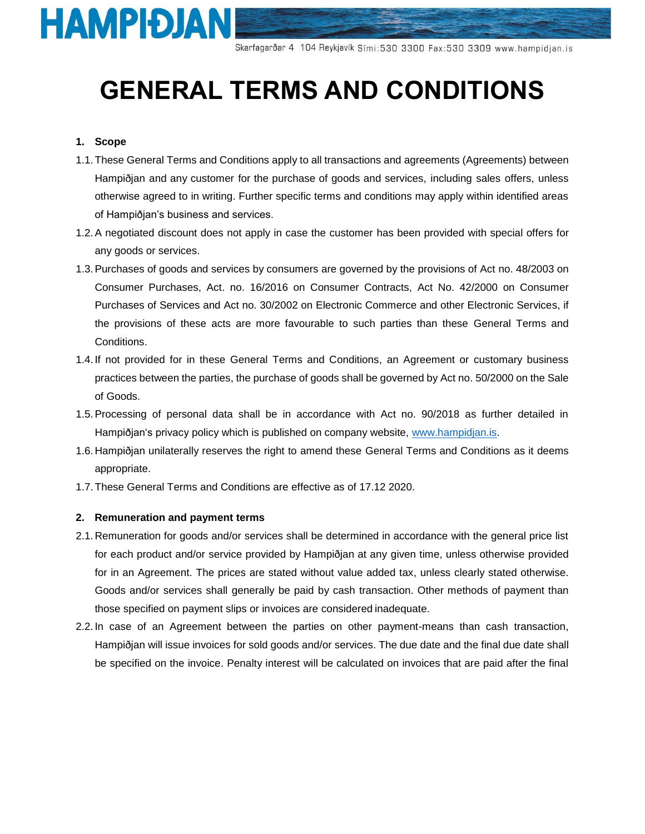

# **GENERAL TERMS AND CONDITIONS**

# **1. Scope**

- 1.1.These General Terms and Conditions apply to all transactions and agreements (Agreements) between Hampiðjan and any customer for the purchase of goods and services, including sales offers, unless otherwise agreed to in writing. Further specific terms and conditions may apply within identified areas of Hampiðjan's business and services.
- 1.2.A negotiated discount does not apply in case the customer has been provided with special offers for any goods or services.
- 1.3.Purchases of goods and services by consumers are governed by the provisions of Act no. 48/2003 on Consumer Purchases, Act. no. 16/2016 on Consumer Contracts, Act No. 42/2000 on Consumer Purchases of Services and Act no. 30/2002 on Electronic Commerce and other Electronic Services, if the provisions of these acts are more favourable to such parties than these General Terms and Conditions.
- 1.4. If not provided for in these General Terms and Conditions, an Agreement or customary business practices between the parties, the purchase of goods shall be governed by Act no. 50/2000 on the Sale of Goods.
- 1.5.Processing of personal data shall be in accordance with Act no. 90/2018 as further detailed in Hampiðjan's privacy policy which is published on company website, [www.hampidjan.is.](http://www.hampidjan.is/)
- 1.6. Hampiðjan unilaterally reserves the right to amend these General Terms and Conditions as it deems appropriate.
- 1.7.These General Terms and Conditions are effective as of 17.12 2020.

## **2. Remuneration and payment terms**

- 2.1. Remuneration for goods and/or services shall be determined in accordance with the general price list for each product and/or service provided by Hampiðjan at any given time, unless otherwise provided for in an Agreement. The prices are stated without value added tax, unless clearly stated otherwise. Goods and/or services shall generally be paid by cash transaction. Other methods of payment than those specified on payment slips or invoices are considered inadequate.
- 2.2. In case of an Agreement between the parties on other payment-means than cash transaction, Hampiðjan will issue invoices for sold goods and/or services. The due date and the final due date shall be specified on the invoice. Penalty interest will be calculated on invoices that are paid after the final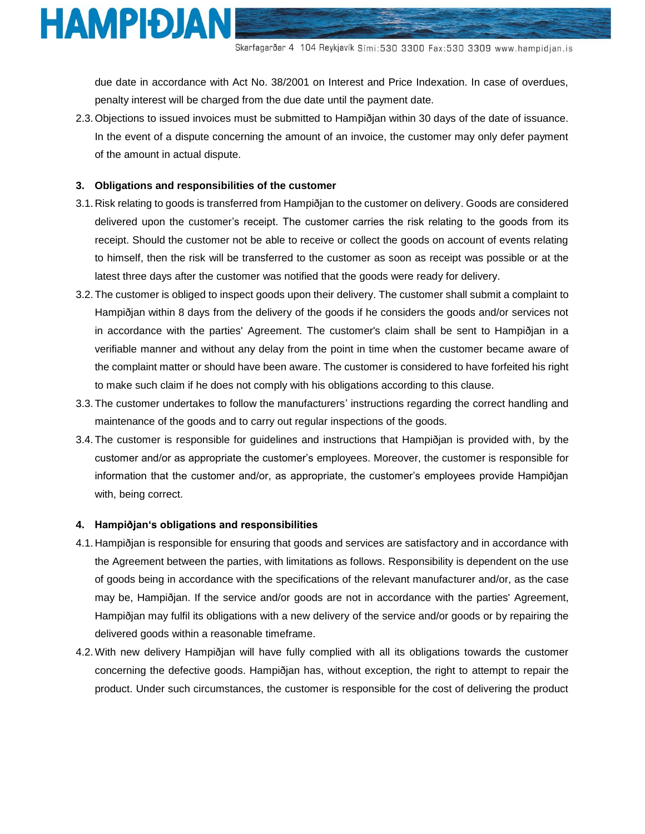

due date in accordance with Act No. 38/2001 on Interest and Price Indexation. In case of overdues, penalty interest will be charged from the due date until the payment date.

2.3.Objections to issued invoices must be submitted to Hampiðjan within 30 days of the date of issuance. In the event of a dispute concerning the amount of an invoice, the customer may only defer payment of the amount in actual dispute.

## **3. Obligations and responsibilities of the customer**

- 3.1. Risk relating to goods is transferred from Hampiðjan to the customer on delivery. Goods are considered delivered upon the customer's receipt. The customer carries the risk relating to the goods from its receipt. Should the customer not be able to receive or collect the goods on account of events relating to himself, then the risk will be transferred to the customer as soon as receipt was possible or at the latest three days after the customer was notified that the goods were ready for delivery.
- 3.2.The customer is obliged to inspect goods upon their delivery. The customer shall submit a complaint to Hampiðjan within 8 days from the delivery of the goods if he considers the goods and/or services not in accordance with the parties' Agreement. The customer's claim shall be sent to Hampiðjan in a verifiable manner and without any delay from the point in time when the customer became aware of the complaint matter or should have been aware. The customer is considered to have forfeited his right to make such claim if he does not comply with his obligations according to this clause.
- 3.3.The customer undertakes to follow the manufacturers' instructions regarding the correct handling and maintenance of the goods and to carry out regular inspections of the goods.
- 3.4.The customer is responsible for guidelines and instructions that Hampiðjan is provided with, by the customer and/or as appropriate the customer's employees. Moreover, the customer is responsible for information that the customer and/or, as appropriate, the customer's employees provide Hampiðjan with, being correct.

### **4. Hampiðjan's obligations and responsibilities**

- 4.1. Hampiðjan is responsible for ensuring that goods and services are satisfactory and in accordance with the Agreement between the parties, with limitations as follows. Responsibility is dependent on the use of goods being in accordance with the specifications of the relevant manufacturer and/or, as the case may be, Hampiðjan. If the service and/or goods are not in accordance with the parties' Agreement, Hampiðjan may fulfil its obligations with a new delivery of the service and/or goods or by repairing the delivered goods within a reasonable timeframe.
- 4.2.With new delivery Hampiðjan will have fully complied with all its obligations towards the customer concerning the defective goods. Hampiðjan has, without exception, the right to attempt to repair the product. Under such circumstances, the customer is responsible for the cost of delivering the product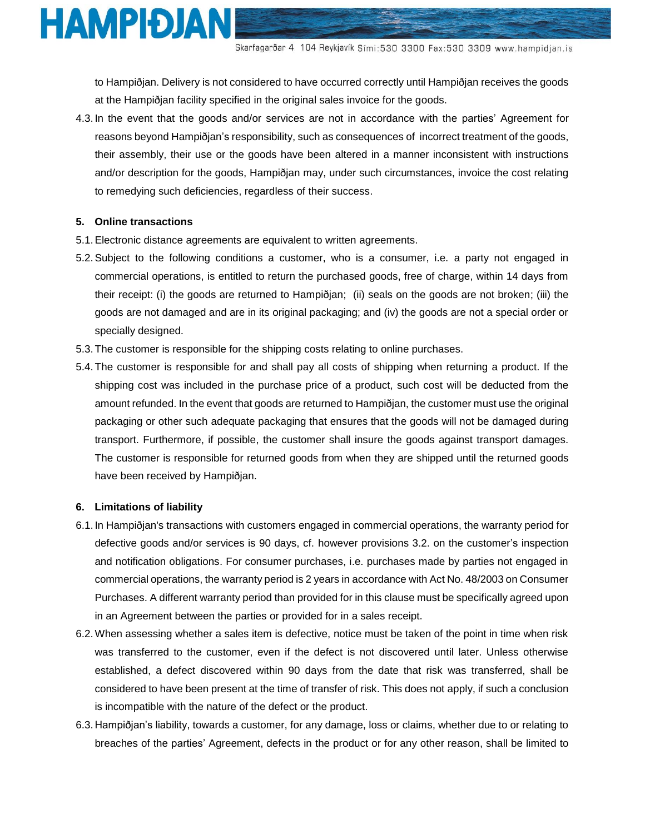

to Hampiðjan. Delivery is not considered to have occurred correctly until Hampiðjan receives the goods at the Hampiðjan facility specified in the original sales invoice for the goods.

4.3. In the event that the goods and/or services are not in accordance with the parties' Agreement for reasons beyond Hampiðjan's responsibility, such as consequences of incorrect treatment of the goods, their assembly, their use or the goods have been altered in a manner inconsistent with instructions and/or description for the goods, Hampiðjan may, under such circumstances, invoice the cost relating to remedying such deficiencies, regardless of their success.

## **5. Online transactions**

- 5.1.Electronic distance agreements are equivalent to written agreements.
- 5.2.Subject to the following conditions a customer, who is a consumer, i.e. a party not engaged in commercial operations, is entitled to return the purchased goods, free of charge, within 14 days from their receipt: (i) the goods are returned to Hampiðjan; (ii) seals on the goods are not broken; (iii) the goods are not damaged and are in its original packaging; and (iv) the goods are not a special order or specially designed.
- 5.3.The customer is responsible for the shipping costs relating to online purchases.
- 5.4.The customer is responsible for and shall pay all costs of shipping when returning a product. If the shipping cost was included in the purchase price of a product, such cost will be deducted from the amount refunded. In the event that goods are returned to Hampiðjan, the customer must use the original packaging or other such adequate packaging that ensures that the goods will not be damaged during transport. Furthermore, if possible, the customer shall insure the goods against transport damages. The customer is responsible for returned goods from when they are shipped until the returned goods have been received by Hampiðjan.

## **6. Limitations of liability**

- 6.1. In Hampiðjan's transactions with customers engaged in commercial operations, the warranty period for defective goods and/or services is 90 days, cf. however provisions 3.2. on the customer's inspection and notification obligations. For consumer purchases, i.e. purchases made by parties not engaged in commercial operations, the warranty period is 2 years in accordance with Act No. 48/2003 on Consumer Purchases. A different warranty period than provided for in this clause must be specifically agreed upon in an Agreement between the parties or provided for in a sales receipt.
- 6.2.When assessing whether a sales item is defective, notice must be taken of the point in time when risk was transferred to the customer, even if the defect is not discovered until later. Unless otherwise established, a defect discovered within 90 days from the date that risk was transferred, shall be considered to have been present at the time of transfer of risk. This does not apply, if such a conclusion is incompatible with the nature of the defect or the product.
- 6.3. Hampiðjan's liability, towards a customer, for any damage, loss or claims, whether due to or relating to breaches of the parties' Agreement, defects in the product or for any other reason, shall be limited to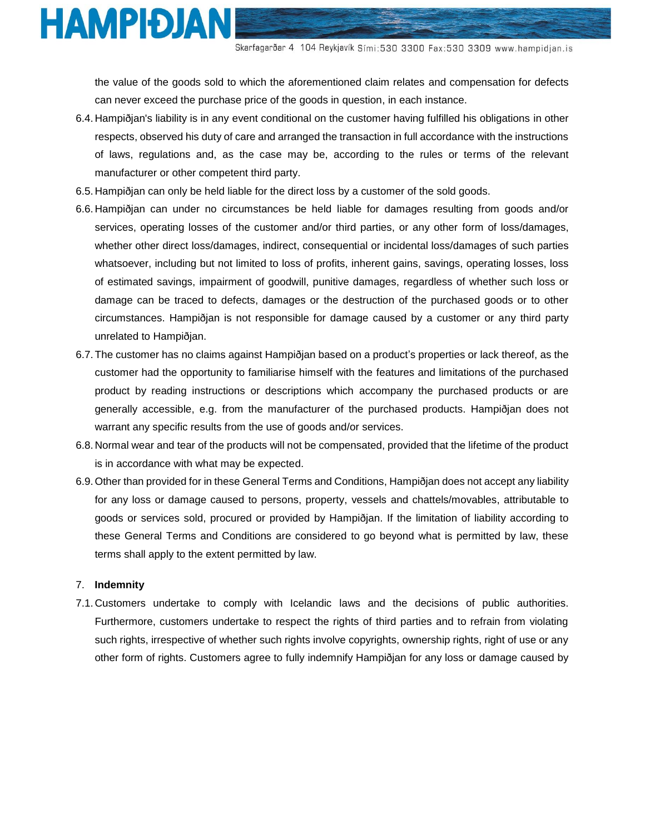

the value of the goods sold to which the aforementioned claim relates and compensation for defects can never exceed the purchase price of the goods in question, in each instance.

- 6.4. Hampiðjan's liability is in any event conditional on the customer having fulfilled his obligations in other respects, observed his duty of care and arranged the transaction in full accordance with the instructions of laws, regulations and, as the case may be, according to the rules or terms of the relevant manufacturer or other competent third party.
- 6.5. Hampiðjan can only be held liable for the direct loss by a customer of the sold goods.
- 6.6. Hampiðjan can under no circumstances be held liable for damages resulting from goods and/or services, operating losses of the customer and/or third parties, or any other form of loss/damages, whether other direct loss/damages, indirect, consequential or incidental loss/damages of such parties whatsoever, including but not limited to loss of profits, inherent gains, savings, operating losses, loss of estimated savings, impairment of goodwill, punitive damages, regardless of whether such loss or damage can be traced to defects, damages or the destruction of the purchased goods or to other circumstances. Hampiðjan is not responsible for damage caused by a customer or any third party unrelated to Hampiðjan.
- 6.7.The customer has no claims against Hampiðjan based on a product's properties or lack thereof, as the customer had the opportunity to familiarise himself with the features and limitations of the purchased product by reading instructions or descriptions which accompany the purchased products or are generally accessible, e.g. from the manufacturer of the purchased products. Hampiðjan does not warrant any specific results from the use of goods and/or services.
- 6.8. Normal wear and tear of the products will not be compensated, provided that the lifetime of the product is in accordance with what may be expected.
- 6.9.Other than provided for in these General Terms and Conditions, Hampiðjan does not accept any liability for any loss or damage caused to persons, property, vessels and chattels/movables, attributable to goods or services sold, procured or provided by Hampiðjan. If the limitation of liability according to these General Terms and Conditions are considered to go beyond what is permitted by law, these terms shall apply to the extent permitted by law.

## 7. **Indemnity**

7.1. Customers undertake to comply with Icelandic laws and the decisions of public authorities. Furthermore, customers undertake to respect the rights of third parties and to refrain from violating such rights, irrespective of whether such rights involve copyrights, ownership rights, right of use or any other form of rights. Customers agree to fully indemnify Hampiðjan for any loss or damage caused by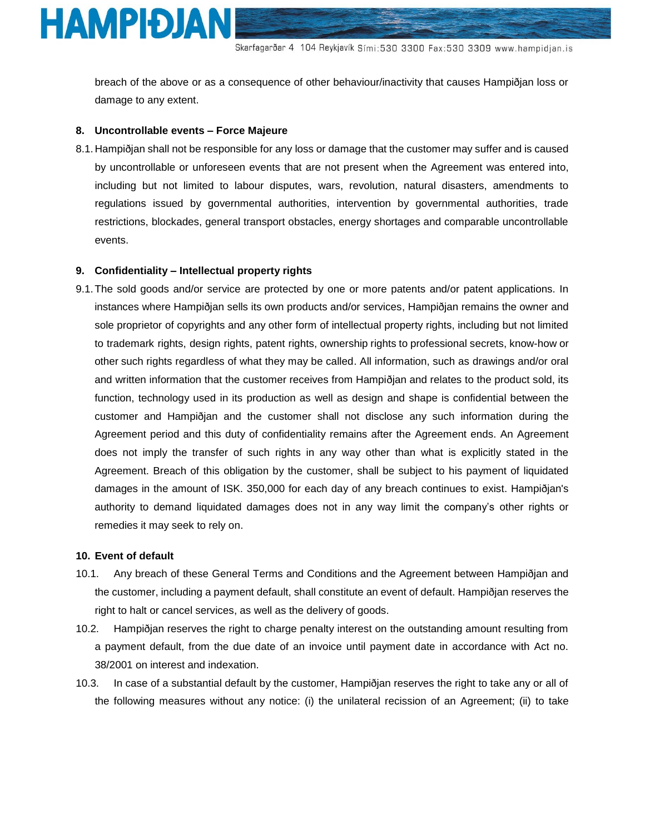

breach of the above or as a consequence of other behaviour/inactivity that causes Hampiðjan loss or damage to any extent.

#### **8. Uncontrollable events – Force Majeure**

8.1. Hampiðjan shall not be responsible for any loss or damage that the customer may suffer and is caused by uncontrollable or unforeseen events that are not present when the Agreement was entered into, including but not limited to labour disputes, wars, revolution, natural disasters, amendments to regulations issued by governmental authorities, intervention by governmental authorities, trade restrictions, blockades, general transport obstacles, energy shortages and comparable uncontrollable events.

#### **9. Confidentiality – Intellectual property rights**

9.1.The sold goods and/or service are protected by one or more patents and/or patent applications. In instances where Hampiðjan sells its own products and/or services, Hampiðjan remains the owner and sole proprietor of copyrights and any other form of intellectual property rights, including but not limited to trademark rights, design rights, patent rights, ownership rights to professional secrets, know-how or other such rights regardless of what they may be called. All information, such as drawings and/or oral and written information that the customer receives from Hampiðjan and relates to the product sold, its function, technology used in its production as well as design and shape is confidential between the customer and Hampiðjan and the customer shall not disclose any such information during the Agreement period and this duty of confidentiality remains after the Agreement ends. An Agreement does not imply the transfer of such rights in any way other than what is explicitly stated in the Agreement. Breach of this obligation by the customer, shall be subject to his payment of liquidated damages in the amount of ISK. 350,000 for each day of any breach continues to exist. Hampiðjan's authority to demand liquidated damages does not in any way limit the company's other rights or remedies it may seek to rely on.

## **10. Event of default**

- 10.1. Any breach of these General Terms and Conditions and the Agreement between Hampiðjan and the customer, including a payment default, shall constitute an event of default. Hampiðjan reserves the right to halt or cancel services, as well as the delivery of goods.
- 10.2. Hampiðjan reserves the right to charge penalty interest on the outstanding amount resulting from a payment default, from the due date of an invoice until payment date in accordance with Act no. 38/2001 on interest and indexation.
- 10.3. In case of a substantial default by the customer, Hampiðjan reserves the right to take any or all of the following measures without any notice: (i) the unilateral recission of an Agreement; (ii) to take